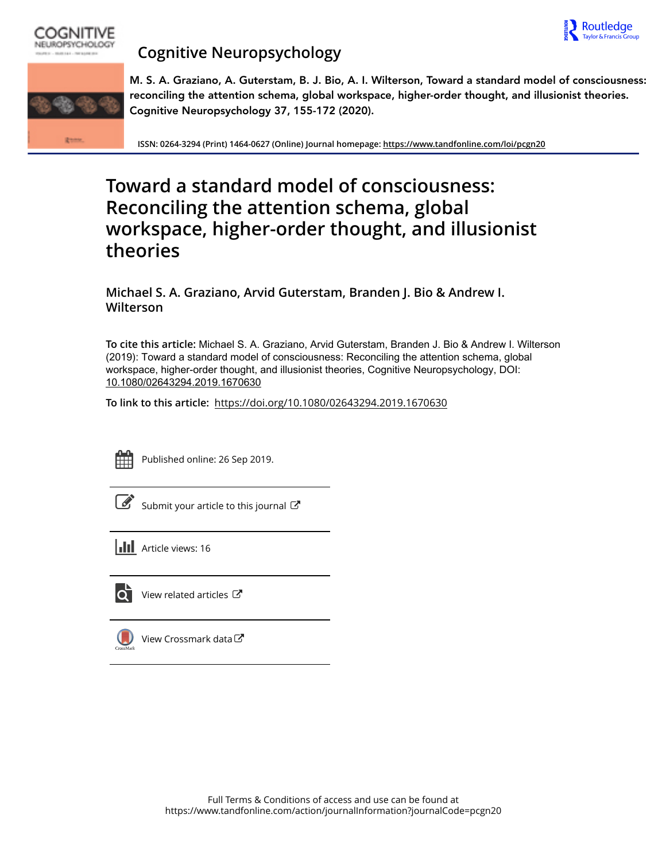



# Cognitive Neuropsychology

**R**td

M. S. A. Graziano, A. Guterstam, B. J. Bio, A. I. Wilterson, Toward a standard model of consciousness: reconciling the attention schema, global workspace, higher-order thought, and illusionist theories. Cognitive Neuropsychology 37, 155-172 (2020).

ISSN: 0264-3294 (Print) 1464-0627 (Online) Journal homepage: https://www.tandfonline.com/loi/pcgn20

# Toward a standard model of consciousness: Reconciling the attention schema, global workspace, higher-order thought, and illusionist theories

Michael S. A. Graziano, Arvid Guterstam, Branden J. Bio & Andrew I. Wilterson

To cite this article: Michael S. A. Graziano, Arvid Guterstam, Branden J. Bio & Andrew I. Wilterson (2019): Toward a standard model of consciousness: Reconciling the attention schema, global workspace, higher-order thought, and illusionist theories, Cognitive Neuropsychology, DOI: 10.1080/02643294.2019.1670630

To link to this article: https://doi.org/10.1080/02643294.2019.1670630



Published online: 26 Sep 2019.

Submit your article to this journal  $\mathbb{Z}$ 

**III** Article views: 16



 $\overline{\mathbf{C}}$  View related articles  $\mathbf{C}$ 



 $\bigcup$  View Crossmark data  $G$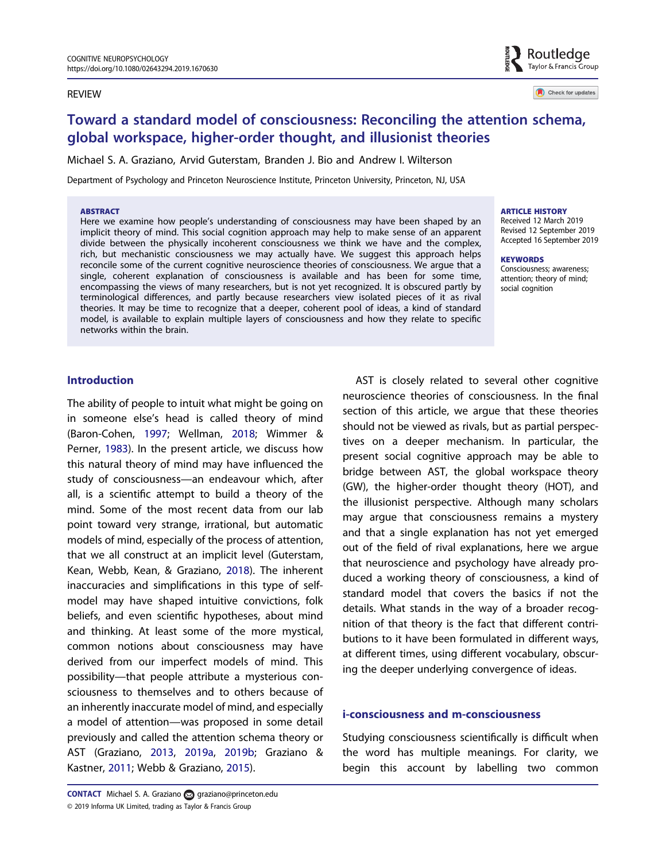#### REVIEW

Routledge Taylor & Francis Group

Check for updates

# Toward a standard model of consciousness: Reconciling the attention schema, global workspace, higher-order thought, and illusionist theories

Michael S. A. Graziano, Arvid Guterstam, Branden J. Bio and Andrew I. Wilterson

Department of Psychology and Princeton Neuroscience Institute, Princeton University, Princeton, NJ, USA

#### ABSTRACT

Here we examine how people's understanding of consciousness may have been shaped by an implicit theory of mind. This social cognition approach may help to make sense of an apparent divide between the physically incoherent consciousness we think we have and the complex, rich, but mechanistic consciousness we may actually have. We suggest this approach helps reconcile some of the current cognitive neuroscience theories of consciousness. We argue that a single, coherent explanation of consciousness is available and has been for some time, encompassing the views of many researchers, but is not yet recognized. It is obscured partly by terminological differences, and partly because researchers view isolated pieces of it as rival theories. It may be time to recognize that a deeper, coherent pool of ideas, a kind of standard model, is available to explain multiple layers of consciousness and how they relate to specific networks within the brain.

#### ARTICLE HISTORY

Received 12 March 2019 Revised 12 September 2019 Accepted 16 September 2019

**KEYWORDS** Consciousness; awareness; attention; theory of mind; social cognition

# Introduction

The ability of people to intuit what might be going on in someone else's head is called theory of mind (Baron-Cohen, 1997; Wellman, 2018; Wimmer & Perner, 1983). In the present article, we discuss how this natural theory of mind may have influenced the study of consciousness—an endeavour which, after all, is a scientific attempt to build a theory of the mind. Some of the most recent data from our lab point toward very strange, irrational, but automatic models of mind, especially of the process of attention, that we all construct at an implicit level (Guterstam, Kean, Webb, Kean, & Graziano, 2018). The inherent inaccuracies and simplifications in this type of selfmodel may have shaped intuitive convictions, folk beliefs, and even scientific hypotheses, about mind and thinking. At least some of the more mystical, common notions about consciousness may have derived from our imperfect models of mind. This possibility—that people attribute a mysterious consciousness to themselves and to others because of an inherently inaccurate model of mind, and especially a model of attention—was proposed in some detail previously and called the attention schema theory or AST (Graziano, 2013, 2019a, 2019b; Graziano & Kastner, 2011; Webb & Graziano, 2015).

AST is closely related to several other cognitive neuroscience theories of consciousness. In the final section of this article, we argue that these theories should not be viewed as rivals, but as partial perspectives on a deeper mechanism. In particular, the present social cognitive approach may be able to bridge between AST, the global workspace theory (GW), the higher-order thought theory (HOT), and the illusionist perspective. Although many scholars may argue that consciousness remains a mystery and that a single explanation has not yet emerged out of the field of rival explanations, here we argue that neuroscience and psychology have already produced a working theory of consciousness, a kind of standard model that covers the basics if not the details. What stands in the way of a broader recognition of that theory is the fact that different contributions to it have been formulated in different ways, at different times, using different vocabulary, obscuring the deeper underlying convergence of ideas.

## i-consciousness and m-consciousness

Studying consciousness scientifically is difficult when the word has multiple meanings. For clarity, we begin this account by labelling two common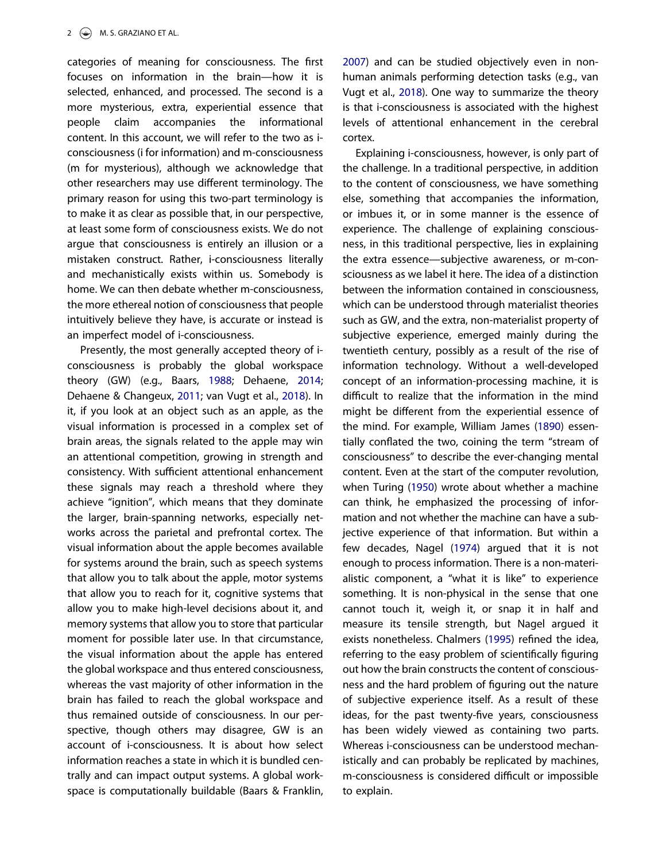categories of meaning for consciousness. The first focuses on information in the brain—how it is selected, enhanced, and processed. The second is a more mysterious, extra, experiential essence that people claim accompanies the informational content. In this account, we will refer to the two as iconsciousness (i for information) and m-consciousness (m for mysterious), although we acknowledge that other researchers may use different terminology. The primary reason for using this two-part terminology is to make it as clear as possible that, in our perspective, at least some form of consciousness exists. We do not argue that consciousness is entirely an illusion or a mistaken construct. Rather, i-consciousness literally and mechanistically exists within us. Somebody is home. We can then debate whether m-consciousness, the more ethereal notion of consciousness that people intuitively believe they have, is accurate or instead is an imperfect model of i-consciousness.

Presently, the most generally accepted theory of iconsciousness is probably the global workspace theory (GW) (e.g., Baars, 1988; Dehaene, 2014; Dehaene & Changeux, 2011; van Vugt et al., 2018). In it, if you look at an object such as an apple, as the visual information is processed in a complex set of brain areas, the signals related to the apple may win an attentional competition, growing in strength and consistency. With sufficient attentional enhancement these signals may reach a threshold where they achieve "ignition", which means that they dominate the larger, brain-spanning networks, especially networks across the parietal and prefrontal cortex. The visual information about the apple becomes available for systems around the brain, such as speech systems that allow you to talk about the apple, motor systems that allow you to reach for it, cognitive systems that allow you to make high-level decisions about it, and memory systems that allow you to store that particular moment for possible later use. In that circumstance, the visual information about the apple has entered the global workspace and thus entered consciousness, whereas the vast majority of other information in the brain has failed to reach the global workspace and thus remained outside of consciousness. In our perspective, though others may disagree, GW is an account of i-consciousness. It is about how select information reaches a state in which it is bundled centrally and can impact output systems. A global workspace is computationally buildable (Baars & Franklin,

2007) and can be studied objectively even in nonhuman animals performing detection tasks (e.g., van Vugt et al., 2018). One way to summarize the theory is that i-consciousness is associated with the highest levels of attentional enhancement in the cerebral cortex.

Explaining i-consciousness, however, is only part of the challenge. In a traditional perspective, in addition to the content of consciousness, we have something else, something that accompanies the information, or imbues it, or in some manner is the essence of experience. The challenge of explaining consciousness, in this traditional perspective, lies in explaining the extra essence—subjective awareness, or m-consciousness as we label it here. The idea of a distinction between the information contained in consciousness, which can be understood through materialist theories such as GW, and the extra, non-materialist property of subjective experience, emerged mainly during the twentieth century, possibly as a result of the rise of information technology. Without a well-developed concept of an information-processing machine, it is difficult to realize that the information in the mind might be different from the experiential essence of the mind. For example, William James (1890) essentially conflated the two, coining the term "stream of consciousness" to describe the ever-changing mental content. Even at the start of the computer revolution, when Turing (1950) wrote about whether a machine can think, he emphasized the processing of information and not whether the machine can have a subjective experience of that information. But within a few decades, Nagel (1974) argued that it is not enough to process information. There is a non-materialistic component, a "what it is like" to experience something. It is non-physical in the sense that one cannot touch it, weigh it, or snap it in half and measure its tensile strength, but Nagel argued it exists nonetheless. Chalmers (1995) refined the idea, referring to the easy problem of scientifically figuring out how the brain constructs the content of consciousness and the hard problem of figuring out the nature of subjective experience itself. As a result of these ideas, for the past twenty-five years, consciousness has been widely viewed as containing two parts. Whereas i-consciousness can be understood mechanistically and can probably be replicated by machines, m-consciousness is considered difficult or impossible to explain.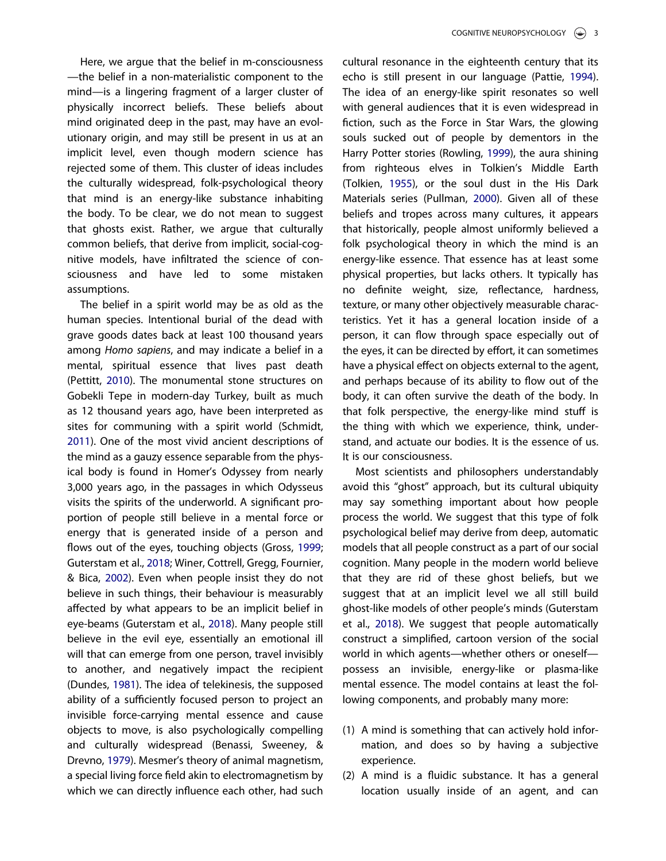Here, we argue that the belief in m-consciousness —the belief in a non-materialistic component to the mind—is a lingering fragment of a larger cluster of physically incorrect beliefs. These beliefs about mind originated deep in the past, may have an evolutionary origin, and may still be present in us at an implicit level, even though modern science has rejected some of them. This cluster of ideas includes the culturally widespread, folk-psychological theory that mind is an energy-like substance inhabiting the body. To be clear, we do not mean to suggest that ghosts exist. Rather, we argue that culturally common beliefs, that derive from implicit, social-cognitive models, have infiltrated the science of consciousness and have led to some mistaken assumptions.

The belief in a spirit world may be as old as the human species. Intentional burial of the dead with grave goods dates back at least 100 thousand years among Homo sapiens, and may indicate a belief in a mental, spiritual essence that lives past death (Pettitt, 2010). The monumental stone structures on Gobekli Tepe in modern-day Turkey, built as much as 12 thousand years ago, have been interpreted as sites for communing with a spirit world (Schmidt, 2011). One of the most vivid ancient descriptions of the mind as a gauzy essence separable from the physical body is found in Homer's Odyssey from nearly 3,000 years ago, in the passages in which Odysseus visits the spirits of the underworld. A significant proportion of people still believe in a mental force or energy that is generated inside of a person and flows out of the eyes, touching objects (Gross, 1999; Guterstam et al., 2018; Winer, Cottrell, Gregg, Fournier, & Bica, 2002). Even when people insist they do not believe in such things, their behaviour is measurably affected by what appears to be an implicit belief in eye-beams (Guterstam et al., 2018). Many people still believe in the evil eye, essentially an emotional ill will that can emerge from one person, travel invisibly to another, and negatively impact the recipient (Dundes, 1981). The idea of telekinesis, the supposed ability of a sufficiently focused person to project an invisible force-carrying mental essence and cause objects to move, is also psychologically compelling and culturally widespread (Benassi, Sweeney, & Drevno, 1979). Mesmer's theory of animal magnetism, a special living force field akin to electromagnetism by which we can directly influence each other, had such

cultural resonance in the eighteenth century that its echo is still present in our language (Pattie, 1994). The idea of an energy-like spirit resonates so well with general audiences that it is even widespread in fiction, such as the Force in Star Wars, the glowing souls sucked out of people by dementors in the Harry Potter stories (Rowling, 1999), the aura shining from righteous elves in Tolkien's Middle Earth (Tolkien, 1955), or the soul dust in the His Dark Materials series (Pullman, 2000). Given all of these beliefs and tropes across many cultures, it appears that historically, people almost uniformly believed a folk psychological theory in which the mind is an energy-like essence. That essence has at least some physical properties, but lacks others. It typically has no definite weight, size, reflectance, hardness, texture, or many other objectively measurable characteristics. Yet it has a general location inside of a person, it can flow through space especially out of the eyes, it can be directed by effort, it can sometimes have a physical effect on objects external to the agent, and perhaps because of its ability to flow out of the body, it can often survive the death of the body. In that folk perspective, the energy-like mind stuff is the thing with which we experience, think, understand, and actuate our bodies. It is the essence of us. It is our consciousness.

Most scientists and philosophers understandably avoid this "ghost" approach, but its cultural ubiquity may say something important about how people process the world. We suggest that this type of folk psychological belief may derive from deep, automatic models that all people construct as a part of our social cognition. Many people in the modern world believe that they are rid of these ghost beliefs, but we suggest that at an implicit level we all still build ghost-like models of other people's minds (Guterstam et al., 2018). We suggest that people automatically construct a simplified, cartoon version of the social world in which agents—whether others or oneself possess an invisible, energy-like or plasma-like mental essence. The model contains at least the following components, and probably many more:

- (1) A mind is something that can actively hold information, and does so by having a subjective experience.
- (2) A mind is a fluidic substance. It has a general location usually inside of an agent, and can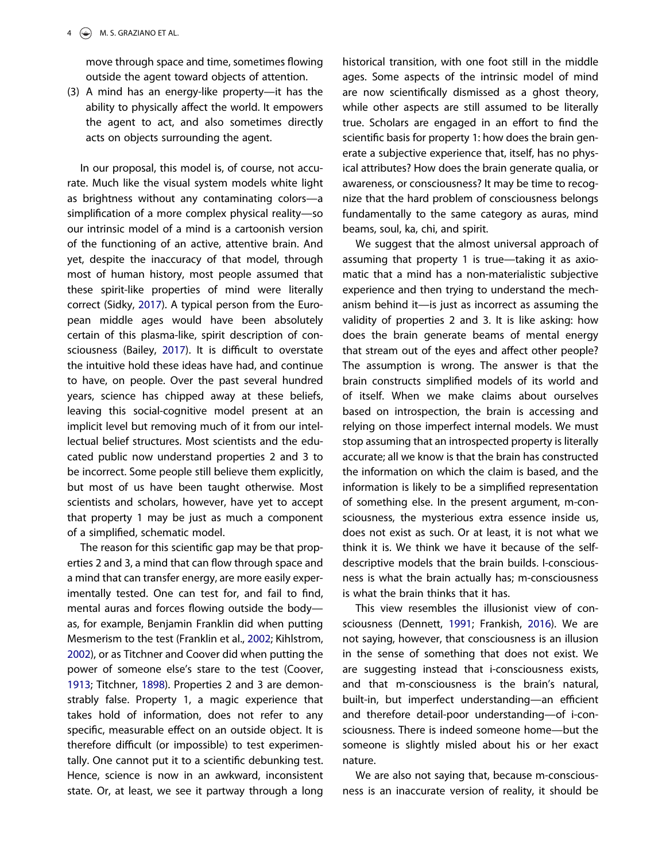move through space and time, sometimes flowing outside the agent toward objects of attention.

(3) A mind has an energy-like property—it has the ability to physically affect the world. It empowers the agent to act, and also sometimes directly acts on objects surrounding the agent.

In our proposal, this model is, of course, not accurate. Much like the visual system models white light as brightness without any contaminating colors—a simplification of a more complex physical reality—so our intrinsic model of a mind is a cartoonish version of the functioning of an active, attentive brain. And yet, despite the inaccuracy of that model, through most of human history, most people assumed that these spirit-like properties of mind were literally correct (Sidky, 2017). A typical person from the European middle ages would have been absolutely certain of this plasma-like, spirit description of consciousness (Bailey, 2017). It is difficult to overstate the intuitive hold these ideas have had, and continue to have, on people. Over the past several hundred years, science has chipped away at these beliefs, leaving this social-cognitive model present at an implicit level but removing much of it from our intellectual belief structures. Most scientists and the educated public now understand properties 2 and 3 to be incorrect. Some people still believe them explicitly, but most of us have been taught otherwise. Most scientists and scholars, however, have yet to accept that property 1 may be just as much a component of a simplified, schematic model.

The reason for this scientific gap may be that properties 2 and 3, a mind that can flow through space and a mind that can transfer energy, are more easily experimentally tested. One can test for, and fail to find, mental auras and forces flowing outside the body as, for example, Benjamin Franklin did when putting Mesmerism to the test (Franklin et al., 2002; Kihlstrom, 2002), or as Titchner and Coover did when putting the power of someone else's stare to the test (Coover, 1913; Titchner, 1898). Properties 2 and 3 are demonstrably false. Property 1, a magic experience that takes hold of information, does not refer to any specific, measurable effect on an outside object. It is therefore difficult (or impossible) to test experimentally. One cannot put it to a scientific debunking test. Hence, science is now in an awkward, inconsistent state. Or, at least, we see it partway through a long

historical transition, with one foot still in the middle ages. Some aspects of the intrinsic model of mind are now scientifically dismissed as a ghost theory, while other aspects are still assumed to be literally true. Scholars are engaged in an effort to find the scientific basis for property 1: how does the brain generate a subjective experience that, itself, has no physical attributes? How does the brain generate qualia, or awareness, or consciousness? It may be time to recognize that the hard problem of consciousness belongs fundamentally to the same category as auras, mind beams, soul, ka, chi, and spirit.

We suggest that the almost universal approach of assuming that property 1 is true—taking it as axiomatic that a mind has a non-materialistic subjective experience and then trying to understand the mechanism behind it—is just as incorrect as assuming the validity of properties 2 and 3. It is like asking: how does the brain generate beams of mental energy that stream out of the eyes and affect other people? The assumption is wrong. The answer is that the brain constructs simplified models of its world and of itself. When we make claims about ourselves based on introspection, the brain is accessing and relying on those imperfect internal models. We must stop assuming that an introspected property is literally accurate; all we know is that the brain has constructed the information on which the claim is based, and the information is likely to be a simplified representation of something else. In the present argument, m-consciousness, the mysterious extra essence inside us, does not exist as such. Or at least, it is not what we think it is. We think we have it because of the selfdescriptive models that the brain builds. I-consciousness is what the brain actually has; m-consciousness is what the brain thinks that it has.

This view resembles the illusionist view of consciousness (Dennett, 1991; Frankish, 2016). We are not saying, however, that consciousness is an illusion in the sense of something that does not exist. We are suggesting instead that i-consciousness exists, and that m-consciousness is the brain's natural, built-in, but imperfect understanding—an efficient and therefore detail-poor understanding—of i-consciousness. There is indeed someone home—but the someone is slightly misled about his or her exact nature.

We are also not saying that, because m-consciousness is an inaccurate version of reality, it should be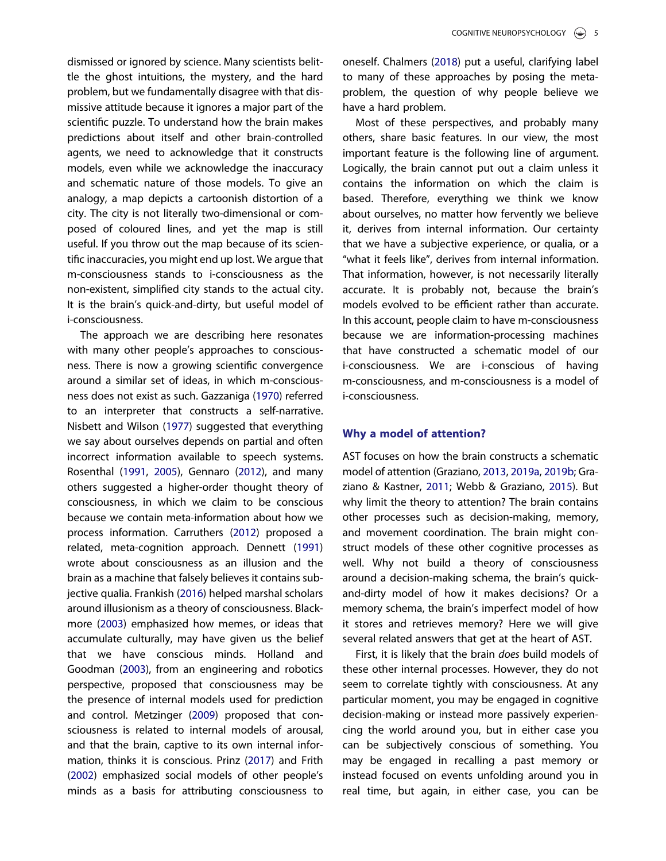dismissed or ignored by science. Many scientists belittle the ghost intuitions, the mystery, and the hard problem, but we fundamentally disagree with that dismissive attitude because it ignores a major part of the scientific puzzle. To understand how the brain makes predictions about itself and other brain-controlled agents, we need to acknowledge that it constructs models, even while we acknowledge the inaccuracy and schematic nature of those models. To give an analogy, a map depicts a cartoonish distortion of a city. The city is not literally two-dimensional or composed of coloured lines, and yet the map is still useful. If you throw out the map because of its scientific inaccuracies, you might end up lost. We argue that m-consciousness stands to i-consciousness as the non-existent, simplified city stands to the actual city. It is the brain's quick-and-dirty, but useful model of i-consciousness.

The approach we are describing here resonates with many other people's approaches to consciousness. There is now a growing scientific convergence around a similar set of ideas, in which m-consciousness does not exist as such. Gazzaniga (1970) referred to an interpreter that constructs a self-narrative. Nisbett and Wilson (1977) suggested that everything we say about ourselves depends on partial and often incorrect information available to speech systems. Rosenthal (1991, 2005), Gennaro (2012), and many others suggested a higher-order thought theory of consciousness, in which we claim to be conscious because we contain meta-information about how we process information. Carruthers (2012) proposed a related, meta-cognition approach. Dennett (1991) wrote about consciousness as an illusion and the brain as a machine that falsely believes it contains subjective qualia. Frankish (2016) helped marshal scholars around illusionism as a theory of consciousness. Blackmore (2003) emphasized how memes, or ideas that accumulate culturally, may have given us the belief that we have conscious minds. Holland and Goodman (2003), from an engineering and robotics perspective, proposed that consciousness may be the presence of internal models used for prediction and control. Metzinger (2009) proposed that consciousness is related to internal models of arousal, and that the brain, captive to its own internal information, thinks it is conscious. Prinz (2017) and Frith (2002) emphasized social models of other people's minds as a basis for attributing consciousness to

oneself. Chalmers (2018) put a useful, clarifying label to many of these approaches by posing the metaproblem, the question of why people believe we have a hard problem.

Most of these perspectives, and probably many others, share basic features. In our view, the most important feature is the following line of argument. Logically, the brain cannot put out a claim unless it contains the information on which the claim is based. Therefore, everything we think we know about ourselves, no matter how fervently we believe it, derives from internal information. Our certainty that we have a subjective experience, or qualia, or a "what it feels like", derives from internal information. That information, however, is not necessarily literally accurate. It is probably not, because the brain's models evolved to be efficient rather than accurate. In this account, people claim to have m-consciousness because we are information-processing machines that have constructed a schematic model of our i-consciousness. We are i-conscious of having m-consciousness, and m-consciousness is a model of i-consciousness.

### Why a model of attention?

AST focuses on how the brain constructs a schematic model of attention (Graziano, 2013, 2019a, 2019b; Graziano & Kastner, 2011; Webb & Graziano, 2015). But why limit the theory to attention? The brain contains other processes such as decision-making, memory, and movement coordination. The brain might construct models of these other cognitive processes as well. Why not build a theory of consciousness around a decision-making schema, the brain's quickand-dirty model of how it makes decisions? Or a memory schema, the brain's imperfect model of how it stores and retrieves memory? Here we will give several related answers that get at the heart of AST.

First, it is likely that the brain does build models of these other internal processes. However, they do not seem to correlate tightly with consciousness. At any particular moment, you may be engaged in cognitive decision-making or instead more passively experiencing the world around you, but in either case you can be subjectively conscious of something. You may be engaged in recalling a past memory or instead focused on events unfolding around you in real time, but again, in either case, you can be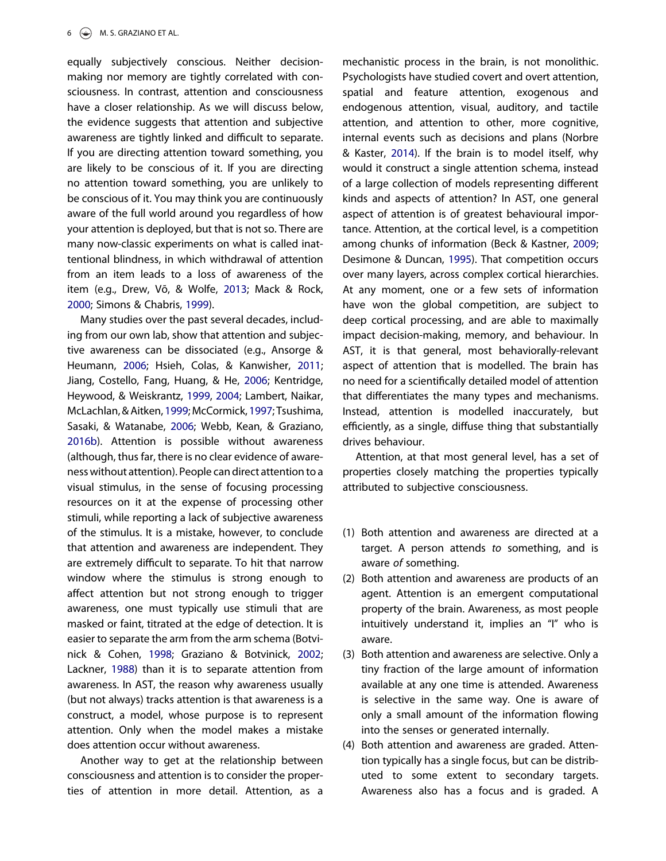equally subjectively conscious. Neither decisionmaking nor memory are tightly correlated with consciousness. In contrast, attention and consciousness have a closer relationship. As we will discuss below, the evidence suggests that attention and subjective awareness are tightly linked and difficult to separate. If you are directing attention toward something, you are likely to be conscious of it. If you are directing no attention toward something, you are unlikely to be conscious of it. You may think you are continuously aware of the full world around you regardless of how your attention is deployed, but that is not so. There are many now-classic experiments on what is called inattentional blindness, in which withdrawal of attention from an item leads to a loss of awareness of the item (e.g., Drew, Võ, & Wolfe, 2013; Mack & Rock, 2000; Simons & Chabris, 1999).

Many studies over the past several decades, including from our own lab, show that attention and subjective awareness can be dissociated (e.g., Ansorge & Heumann, 2006; Hsieh, Colas, & Kanwisher, 2011; Jiang, Costello, Fang, Huang, & He, 2006; Kentridge, Heywood, & Weiskrantz, 1999, 2004; Lambert, Naikar, McLachlan, & Aitken, 1999; McCormick, 1997; Tsushima, Sasaki, & Watanabe, 2006; Webb, Kean, & Graziano, 2016b). Attention is possible without awareness (although, thus far, there is no clear evidence of awareness without attention). People can direct attention to a visual stimulus, in the sense of focusing processing resources on it at the expense of processing other stimuli, while reporting a lack of subjective awareness of the stimulus. It is a mistake, however, to conclude that attention and awareness are independent. They are extremely difficult to separate. To hit that narrow window where the stimulus is strong enough to affect attention but not strong enough to trigger awareness, one must typically use stimuli that are masked or faint, titrated at the edge of detection. It is easier to separate the arm from the arm schema (Botvinick & Cohen, 1998; Graziano & Botvinick, 2002; Lackner, 1988) than it is to separate attention from awareness. In AST, the reason why awareness usually (but not always) tracks attention is that awareness is a construct, a model, whose purpose is to represent attention. Only when the model makes a mistake does attention occur without awareness.

Another way to get at the relationship between consciousness and attention is to consider the properties of attention in more detail. Attention, as a mechanistic process in the brain, is not monolithic. Psychologists have studied covert and overt attention, spatial and feature attention, exogenous and endogenous attention, visual, auditory, and tactile attention, and attention to other, more cognitive, internal events such as decisions and plans (Norbre & Kaster, 2014). If the brain is to model itself, why would it construct a single attention schema, instead of a large collection of models representing different kinds and aspects of attention? In AST, one general aspect of attention is of greatest behavioural importance. Attention, at the cortical level, is a competition among chunks of information (Beck & Kastner, 2009; Desimone & Duncan, 1995). That competition occurs over many layers, across complex cortical hierarchies. At any moment, one or a few sets of information have won the global competition, are subject to deep cortical processing, and are able to maximally impact decision-making, memory, and behaviour. In AST, it is that general, most behaviorally-relevant aspect of attention that is modelled. The brain has no need for a scientifically detailed model of attention that differentiates the many types and mechanisms. Instead, attention is modelled inaccurately, but efficiently, as a single, diffuse thing that substantially drives behaviour.

Attention, at that most general level, has a set of properties closely matching the properties typically attributed to subjective consciousness.

- (1) Both attention and awareness are directed at a target. A person attends to something, and is aware of something.
- (2) Both attention and awareness are products of an agent. Attention is an emergent computational property of the brain. Awareness, as most people intuitively understand it, implies an "I" who is aware.
- (3) Both attention and awareness are selective. Only a tiny fraction of the large amount of information available at any one time is attended. Awareness is selective in the same way. One is aware of only a small amount of the information flowing into the senses or generated internally.
- (4) Both attention and awareness are graded. Attention typically has a single focus, but can be distributed to some extent to secondary targets. Awareness also has a focus and is graded. A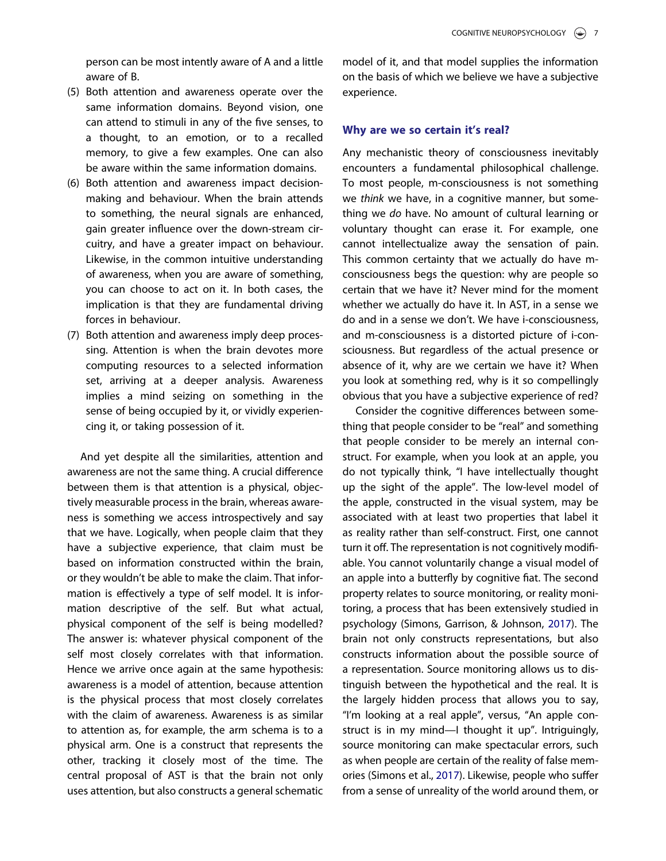person can be most intently aware of A and a little aware of B.

- (5) Both attention and awareness operate over the same information domains. Beyond vision, one can attend to stimuli in any of the five senses, to a thought, to an emotion, or to a recalled memory, to give a few examples. One can also be aware within the same information domains.
- (6) Both attention and awareness impact decisionmaking and behaviour. When the brain attends to something, the neural signals are enhanced, gain greater influence over the down-stream circuitry, and have a greater impact on behaviour. Likewise, in the common intuitive understanding of awareness, when you are aware of something, you can choose to act on it. In both cases, the implication is that they are fundamental driving forces in behaviour.
- (7) Both attention and awareness imply deep processing. Attention is when the brain devotes more computing resources to a selected information set, arriving at a deeper analysis. Awareness implies a mind seizing on something in the sense of being occupied by it, or vividly experiencing it, or taking possession of it.

And yet despite all the similarities, attention and awareness are not the same thing. A crucial difference between them is that attention is a physical, objectively measurable process in the brain, whereas awareness is something we access introspectively and say that we have. Logically, when people claim that they have a subjective experience, that claim must be based on information constructed within the brain, or they wouldn't be able to make the claim. That information is effectively a type of self model. It is information descriptive of the self. But what actual, physical component of the self is being modelled? The answer is: whatever physical component of the self most closely correlates with that information. Hence we arrive once again at the same hypothesis: awareness is a model of attention, because attention is the physical process that most closely correlates with the claim of awareness. Awareness is as similar to attention as, for example, the arm schema is to a physical arm. One is a construct that represents the other, tracking it closely most of the time. The central proposal of AST is that the brain not only uses attention, but also constructs a general schematic

model of it, and that model supplies the information on the basis of which we believe we have a subjective experience.

#### Why are we so certain it's real?

Any mechanistic theory of consciousness inevitably encounters a fundamental philosophical challenge. To most people, m-consciousness is not something we think we have, in a cognitive manner, but something we do have. No amount of cultural learning or voluntary thought can erase it. For example, one cannot intellectualize away the sensation of pain. This common certainty that we actually do have mconsciousness begs the question: why are people so certain that we have it? Never mind for the moment whether we actually do have it. In AST, in a sense we do and in a sense we don't. We have i-consciousness, and m-consciousness is a distorted picture of i-consciousness. But regardless of the actual presence or absence of it, why are we certain we have it? When you look at something red, why is it so compellingly obvious that you have a subjective experience of red?

Consider the cognitive differences between something that people consider to be "real" and something that people consider to be merely an internal construct. For example, when you look at an apple, you do not typically think, "I have intellectually thought up the sight of the apple". The low-level model of the apple, constructed in the visual system, may be associated with at least two properties that label it as reality rather than self-construct. First, one cannot turn it off. The representation is not cognitively modifiable. You cannot voluntarily change a visual model of an apple into a butterfly by cognitive fiat. The second property relates to source monitoring, or reality monitoring, a process that has been extensively studied in psychology (Simons, Garrison, & Johnson, 2017). The brain not only constructs representations, but also constructs information about the possible source of a representation. Source monitoring allows us to distinguish between the hypothetical and the real. It is the largely hidden process that allows you to say, "I'm looking at a real apple", versus, "An apple construct is in my mind—I thought it up". Intriguingly, source monitoring can make spectacular errors, such as when people are certain of the reality of false memories (Simons et al., 2017). Likewise, people who suffer from a sense of unreality of the world around them, or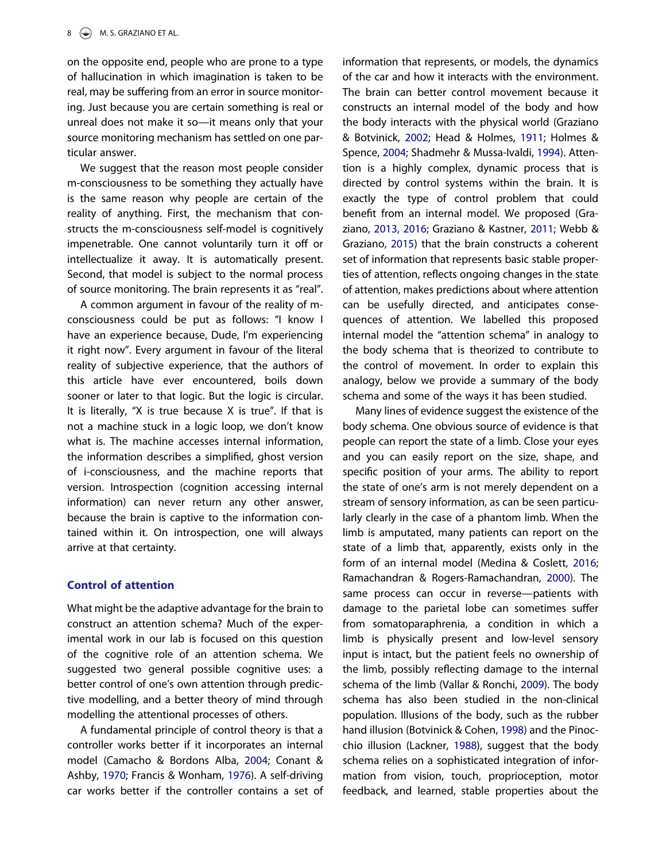on the opposite end, people who are prone to a type of hallucination in which imagination is taken to be real, may be suffering from an error in source monitoring. Just because you are certain something is real or unreal does not make it so—it means only that your source monitoring mechanism has settled on one particular answer.

We suggest that the reason most people consider m-consciousness to be something they actually have is the same reason why people are certain of the reality of anything. First, the mechanism that constructs the m-consciousness self-model is cognitively impenetrable. One cannot voluntarily turn it off or intellectualize it away. It is automatically present. Second, that model is subject to the normal process of source monitoring. The brain represents it as "real".

A common argument in favour of the reality of mconsciousness could be put as follows: "I know I have an experience because, Dude, I'm experiencing it right now". Every argument in favour of the literal reality of subjective experience, that the authors of this article have ever encountered, boils down sooner or later to that logic. But the logic is circular. It is literally, "X is true because X is true". If that is not a machine stuck in a logic loop, we don't know what is. The machine accesses internal information, the information describes a simplified, ghost version of i-consciousness, and the machine reports that version. Introspection (cognition accessing internal information) can never return any other answer, because the brain is captive to the information contained within it. On introspection, one will always arrive at that certainty.

# Control of attention

What might be the adaptive advantage for the brain to construct an attention schema? Much of the experimental work in our lab is focused on this question of the cognitive role of an attention schema. We suggested two general possible cognitive uses: a better control of one's own attention through predictive modelling, and a better theory of mind through modelling the attentional processes of others.

A fundamental principle of control theory is that a controller works better if it incorporates an internal model (Camacho & Bordons Alba, 2004; Conant & Ashby, 1970; Francis & Wonham, 1976). A self-driving car works better if the controller contains a set of information that represents, or models, the dynamics of the car and how it interacts with the environment. The brain can better control movement because it constructs an internal model of the body and how the body interacts with the physical world (Graziano & Botvinick, 2002; Head & Holmes, 1911; Holmes & Spence, 2004; Shadmehr & Mussa-Ivaldi, 1994). Attention is a highly complex, dynamic process that is directed by control systems within the brain. It is exactly the type of control problem that could benefit from an internal model. We proposed (Graziano, 2013, 2016; Graziano & Kastner, 2011; Webb & Graziano, 2015) that the brain constructs a coherent set of information that represents basic stable properties of attention, reflects ongoing changes in the state of attention, makes predictions about where attention can be usefully directed, and anticipates consequences of attention. We labelled this proposed internal model the "attention schema" in analogy to the body schema that is theorized to contribute to the control of movement. In order to explain this analogy, below we provide a summary of the body schema and some of the ways it has been studied.

Many lines of evidence suggest the existence of the body schema. One obvious source of evidence is that people can report the state of a limb. Close your eyes and you can easily report on the size, shape, and specific position of your arms. The ability to report the state of one's arm is not merely dependent on a stream of sensory information, as can be seen particularly clearly in the case of a phantom limb. When the limb is amputated, many patients can report on the state of a limb that, apparently, exists only in the form of an internal model (Medina & Coslett, 2016; Ramachandran & Rogers-Ramachandran, 2000). The same process can occur in reverse—patients with damage to the parietal lobe can sometimes suffer from somatoparaphrenia, a condition in which a limb is physically present and low-level sensory input is intact, but the patient feels no ownership of the limb, possibly reflecting damage to the internal schema of the limb (Vallar & Ronchi, 2009). The body schema has also been studied in the non-clinical population. Illusions of the body, such as the rubber hand illusion (Botvinick & Cohen, 1998) and the Pinocchio illusion (Lackner, 1988), suggest that the body schema relies on a sophisticated integration of information from vision, touch, proprioception, motor feedback, and learned, stable properties about the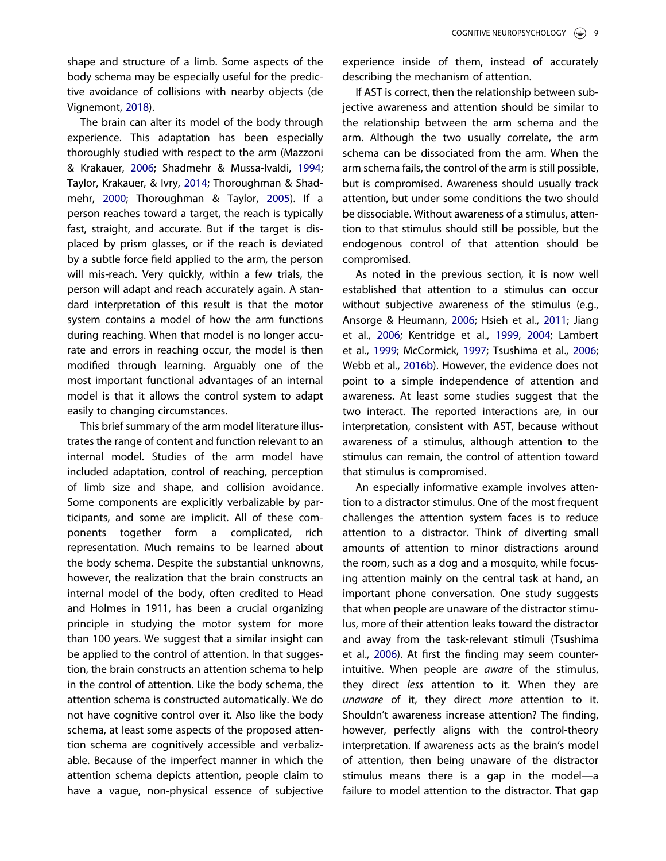shape and structure of a limb. Some aspects of the body schema may be especially useful for the predictive avoidance of collisions with nearby objects (de Vignemont, 2018).

The brain can alter its model of the body through experience. This adaptation has been especially thoroughly studied with respect to the arm (Mazzoni & Krakauer, 2006; Shadmehr & Mussa-Ivaldi, 1994; Taylor, Krakauer, & Ivry, 2014; Thoroughman & Shadmehr, 2000; Thoroughman & Taylor, 2005). If a person reaches toward a target, the reach is typically fast, straight, and accurate. But if the target is displaced by prism glasses, or if the reach is deviated by a subtle force field applied to the arm, the person will mis-reach. Very quickly, within a few trials, the person will adapt and reach accurately again. A standard interpretation of this result is that the motor system contains a model of how the arm functions during reaching. When that model is no longer accurate and errors in reaching occur, the model is then modified through learning. Arguably one of the most important functional advantages of an internal model is that it allows the control system to adapt easily to changing circumstances.

This brief summary of the arm model literature illustrates the range of content and function relevant to an internal model. Studies of the arm model have included adaptation, control of reaching, perception of limb size and shape, and collision avoidance. Some components are explicitly verbalizable by participants, and some are implicit. All of these components together form a complicated, rich representation. Much remains to be learned about the body schema. Despite the substantial unknowns, however, the realization that the brain constructs an internal model of the body, often credited to Head and Holmes in 1911, has been a crucial organizing principle in studying the motor system for more than 100 years. We suggest that a similar insight can be applied to the control of attention. In that suggestion, the brain constructs an attention schema to help in the control of attention. Like the body schema, the attention schema is constructed automatically. We do not have cognitive control over it. Also like the body schema, at least some aspects of the proposed attention schema are cognitively accessible and verbalizable. Because of the imperfect manner in which the attention schema depicts attention, people claim to have a vague, non-physical essence of subjective experience inside of them, instead of accurately describing the mechanism of attention.

If AST is correct, then the relationship between subjective awareness and attention should be similar to the relationship between the arm schema and the arm. Although the two usually correlate, the arm schema can be dissociated from the arm. When the arm schema fails, the control of the arm is still possible, but is compromised. Awareness should usually track attention, but under some conditions the two should be dissociable. Without awareness of a stimulus, attention to that stimulus should still be possible, but the endogenous control of that attention should be compromised.

As noted in the previous section, it is now well established that attention to a stimulus can occur without subjective awareness of the stimulus (e.g., Ansorge & Heumann, 2006; Hsieh et al., 2011; Jiang et al., 2006; Kentridge et al., 1999, 2004; Lambert et al., 1999; McCormick, 1997; Tsushima et al., 2006; Webb et al., 2016b). However, the evidence does not point to a simple independence of attention and awareness. At least some studies suggest that the two interact. The reported interactions are, in our interpretation, consistent with AST, because without awareness of a stimulus, although attention to the stimulus can remain, the control of attention toward that stimulus is compromised.

An especially informative example involves attention to a distractor stimulus. One of the most frequent challenges the attention system faces is to reduce attention to a distractor. Think of diverting small amounts of attention to minor distractions around the room, such as a dog and a mosquito, while focusing attention mainly on the central task at hand, an important phone conversation. One study suggests that when people are unaware of the distractor stimulus, more of their attention leaks toward the distractor and away from the task-relevant stimuli (Tsushima et al., 2006). At first the finding may seem counterintuitive. When people are aware of the stimulus, they direct less attention to it. When they are unaware of it, they direct more attention to it. Shouldn't awareness increase attention? The finding, however, perfectly aligns with the control-theory interpretation. If awareness acts as the brain's model of attention, then being unaware of the distractor stimulus means there is a gap in the model—a failure to model attention to the distractor. That gap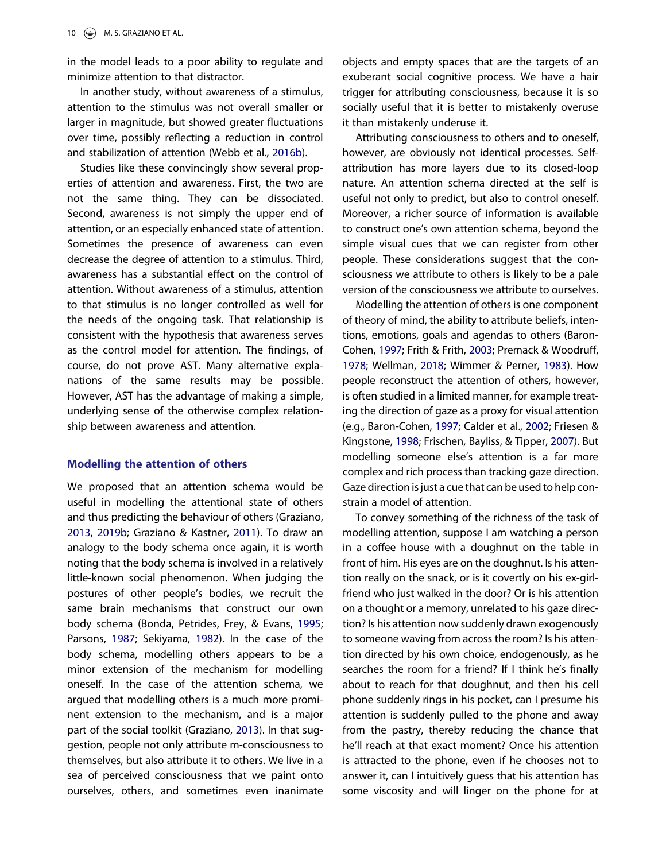in the model leads to a poor ability to regulate and minimize attention to that distractor.

In another study, without awareness of a stimulus, attention to the stimulus was not overall smaller or larger in magnitude, but showed greater fluctuations over time, possibly reflecting a reduction in control and stabilization of attention (Webb et al., 2016b).

Studies like these convincingly show several properties of attention and awareness. First, the two are not the same thing. They can be dissociated. Second, awareness is not simply the upper end of attention, or an especially enhanced state of attention. Sometimes the presence of awareness can even decrease the degree of attention to a stimulus. Third, awareness has a substantial effect on the control of attention. Without awareness of a stimulus, attention to that stimulus is no longer controlled as well for the needs of the ongoing task. That relationship is consistent with the hypothesis that awareness serves as the control model for attention. The findings, of course, do not prove AST. Many alternative explanations of the same results may be possible. However, AST has the advantage of making a simple, underlying sense of the otherwise complex relationship between awareness and attention.

#### Modelling the attention of others

We proposed that an attention schema would be useful in modelling the attentional state of others and thus predicting the behaviour of others (Graziano, 2013, 2019b; Graziano & Kastner, 2011). To draw an analogy to the body schema once again, it is worth noting that the body schema is involved in a relatively little-known social phenomenon. When judging the postures of other people's bodies, we recruit the same brain mechanisms that construct our own body schema (Bonda, Petrides, Frey, & Evans, 1995; Parsons, 1987; Sekiyama, 1982). In the case of the body schema, modelling others appears to be a minor extension of the mechanism for modelling oneself. In the case of the attention schema, we argued that modelling others is a much more prominent extension to the mechanism, and is a major part of the social toolkit (Graziano, 2013). In that suggestion, people not only attribute m-consciousness to themselves, but also attribute it to others. We live in a sea of perceived consciousness that we paint onto ourselves, others, and sometimes even inanimate objects and empty spaces that are the targets of an exuberant social cognitive process. We have a hair trigger for attributing consciousness, because it is so socially useful that it is better to mistakenly overuse it than mistakenly underuse it.

Attributing consciousness to others and to oneself, however, are obviously not identical processes. Selfattribution has more layers due to its closed-loop nature. An attention schema directed at the self is useful not only to predict, but also to control oneself. Moreover, a richer source of information is available to construct one's own attention schema, beyond the simple visual cues that we can register from other people. These considerations suggest that the consciousness we attribute to others is likely to be a pale version of the consciousness we attribute to ourselves.

Modelling the attention of others is one component of theory of mind, the ability to attribute beliefs, intentions, emotions, goals and agendas to others (Baron-Cohen, 1997; Frith & Frith, 2003; Premack & Woodruff, 1978; Wellman, 2018; Wimmer & Perner, 1983). How people reconstruct the attention of others, however, is often studied in a limited manner, for example treating the direction of gaze as a proxy for visual attention (e.g., Baron-Cohen, 1997; Calder et al., 2002; Friesen & Kingstone, 1998; Frischen, Bayliss, & Tipper, 2007). But modelling someone else's attention is a far more complex and rich process than tracking gaze direction. Gaze direction is just a cue that can be used to help constrain a model of attention.

To convey something of the richness of the task of modelling attention, suppose I am watching a person in a coffee house with a doughnut on the table in front of him. His eyes are on the doughnut. Is his attention really on the snack, or is it covertly on his ex-girlfriend who just walked in the door? Or is his attention on a thought or a memory, unrelated to his gaze direction? Is his attention now suddenly drawn exogenously to someone waving from across the room? Is his attention directed by his own choice, endogenously, as he searches the room for a friend? If I think he's finally about to reach for that doughnut, and then his cell phone suddenly rings in his pocket, can I presume his attention is suddenly pulled to the phone and away from the pastry, thereby reducing the chance that he'll reach at that exact moment? Once his attention is attracted to the phone, even if he chooses not to answer it, can I intuitively guess that his attention has some viscosity and will linger on the phone for at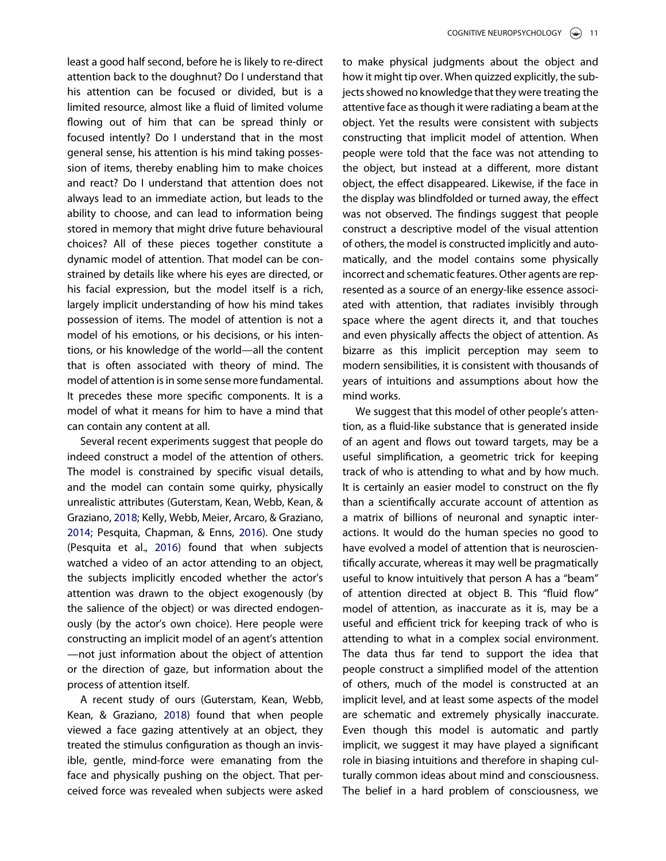least a good half second, before he is likely to re-direct attention back to the doughnut? Do I understand that his attention can be focused or divided, but is a limited resource, almost like a fluid of limited volume flowing out of him that can be spread thinly or focused intently? Do I understand that in the most general sense, his attention is his mind taking possession of items, thereby enabling him to make choices and react? Do I understand that attention does not always lead to an immediate action, but leads to the ability to choose, and can lead to information being stored in memory that might drive future behavioural choices? All of these pieces together constitute a dynamic model of attention. That model can be constrained by details like where his eyes are directed, or his facial expression, but the model itself is a rich, largely implicit understanding of how his mind takes possession of items. The model of attention is not a model of his emotions, or his decisions, or his intentions, or his knowledge of the world—all the content that is often associated with theory of mind. The model of attention is in some sense more fundamental. It precedes these more specific components. It is a model of what it means for him to have a mind that can contain any content at all.

Several recent experiments suggest that people do indeed construct a model of the attention of others. The model is constrained by specific visual details, and the model can contain some quirky, physically unrealistic attributes (Guterstam, Kean, Webb, Kean, & Graziano, 2018; Kelly, Webb, Meier, Arcaro, & Graziano, 2014; Pesquita, Chapman, & Enns, 2016). One study (Pesquita et al., 2016) found that when subjects watched a video of an actor attending to an object, the subjects implicitly encoded whether the actor's attention was drawn to the object exogenously (by the salience of the object) or was directed endogenously (by the actor's own choice). Here people were constructing an implicit model of an agent's attention —not just information about the object of attention or the direction of gaze, but information about the process of attention itself.

A recent study of ours (Guterstam, Kean, Webb, Kean, & Graziano, 2018) found that when people viewed a face gazing attentively at an object, they treated the stimulus configuration as though an invisible, gentle, mind-force were emanating from the face and physically pushing on the object. That perceived force was revealed when subjects were asked to make physical judgments about the object and how it might tip over. When quizzed explicitly, the subjects showed no knowledge that they were treating the attentive face as though it were radiating a beam at the object. Yet the results were consistent with subjects constructing that implicit model of attention. When people were told that the face was not attending to the object, but instead at a different, more distant object, the effect disappeared. Likewise, if the face in the display was blindfolded or turned away, the effect was not observed. The findings suggest that people construct a descriptive model of the visual attention of others, the model is constructed implicitly and automatically, and the model contains some physically incorrect and schematic features. Other agents are represented as a source of an energy-like essence associated with attention, that radiates invisibly through space where the agent directs it, and that touches and even physically affects the object of attention. As bizarre as this implicit perception may seem to modern sensibilities, it is consistent with thousands of years of intuitions and assumptions about how the mind works.

We suggest that this model of other people's attention, as a fluid-like substance that is generated inside of an agent and flows out toward targets, may be a useful simplification, a geometric trick for keeping track of who is attending to what and by how much. It is certainly an easier model to construct on the fly than a scientifically accurate account of attention as a matrix of billions of neuronal and synaptic interactions. It would do the human species no good to have evolved a model of attention that is neuroscientifically accurate, whereas it may well be pragmatically useful to know intuitively that person A has a "beam" of attention directed at object B. This "fluid flow" model of attention, as inaccurate as it is, may be a useful and efficient trick for keeping track of who is attending to what in a complex social environment. The data thus far tend to support the idea that people construct a simplified model of the attention of others, much of the model is constructed at an implicit level, and at least some aspects of the model are schematic and extremely physically inaccurate. Even though this model is automatic and partly implicit, we suggest it may have played a significant role in biasing intuitions and therefore in shaping culturally common ideas about mind and consciousness. The belief in a hard problem of consciousness, we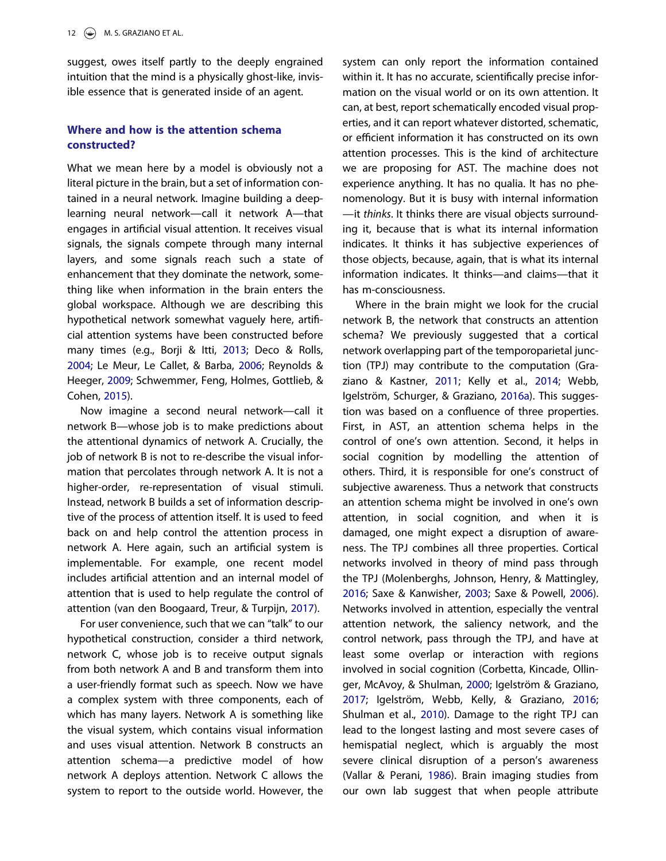suggest, owes itself partly to the deeply engrained intuition that the mind is a physically ghost-like, invisible essence that is generated inside of an agent.

# Where and how is the attention schema constructed?

What we mean here by a model is obviously not a literal picture in the brain, but a set of information contained in a neural network. Imagine building a deeplearning neural network—call it network A—that engages in artificial visual attention. It receives visual signals, the signals compete through many internal layers, and some signals reach such a state of enhancement that they dominate the network, something like when information in the brain enters the global workspace. Although we are describing this hypothetical network somewhat vaguely here, artificial attention systems have been constructed before many times (e.g., Borji & Itti, 2013; Deco & Rolls, 2004; Le Meur, Le Callet, & Barba, 2006; Reynolds & Heeger, 2009; Schwemmer, Feng, Holmes, Gottlieb, & Cohen, 2015).

Now imagine a second neural network—call it network B—whose job is to make predictions about the attentional dynamics of network A. Crucially, the job of network B is not to re-describe the visual information that percolates through network A. It is not a higher-order, re-representation of visual stimuli. Instead, network B builds a set of information descriptive of the process of attention itself. It is used to feed back on and help control the attention process in network A. Here again, such an artificial system is implementable. For example, one recent model includes artificial attention and an internal model of attention that is used to help regulate the control of attention (van den Boogaard, Treur, & Turpijn, 2017).

For user convenience, such that we can "talk" to our hypothetical construction, consider a third network, network C, whose job is to receive output signals from both network A and B and transform them into a user-friendly format such as speech. Now we have a complex system with three components, each of which has many layers. Network A is something like the visual system, which contains visual information and uses visual attention. Network B constructs an attention schema—a predictive model of how network A deploys attention. Network C allows the system to report to the outside world. However, the

system can only report the information contained within it. It has no accurate, scientifically precise information on the visual world or on its own attention. It can, at best, report schematically encoded visual properties, and it can report whatever distorted, schematic, or efficient information it has constructed on its own attention processes. This is the kind of architecture we are proposing for AST. The machine does not experience anything. It has no qualia. It has no phenomenology. But it is busy with internal information —it thinks. It thinks there are visual objects surrounding it, because that is what its internal information indicates. It thinks it has subjective experiences of those objects, because, again, that is what its internal information indicates. It thinks—and claims—that it has m-consciousness.

Where in the brain might we look for the crucial network B, the network that constructs an attention schema? We previously suggested that a cortical network overlapping part of the temporoparietal junction (TPJ) may contribute to the computation (Graziano & Kastner, 2011; Kelly et al., 2014; Webb, Igelström, Schurger, & Graziano, 2016a). This suggestion was based on a confluence of three properties. First, in AST, an attention schema helps in the control of one's own attention. Second, it helps in social cognition by modelling the attention of others. Third, it is responsible for one's construct of subjective awareness. Thus a network that constructs an attention schema might be involved in one's own attention, in social cognition, and when it is damaged, one might expect a disruption of awareness. The TPJ combines all three properties. Cortical networks involved in theory of mind pass through the TPJ (Molenberghs, Johnson, Henry, & Mattingley, 2016; Saxe & Kanwisher, 2003; Saxe & Powell, 2006). Networks involved in attention, especially the ventral attention network, the saliency network, and the control network, pass through the TPJ, and have at least some overlap or interaction with regions involved in social cognition (Corbetta, Kincade, Ollinger, McAvoy, & Shulman, 2000; Igelström & Graziano, 2017; Igelström, Webb, Kelly, & Graziano, 2016; Shulman et al., 2010). Damage to the right TPJ can lead to the longest lasting and most severe cases of hemispatial neglect, which is arguably the most severe clinical disruption of a person's awareness (Vallar & Perani, 1986). Brain imaging studies from our own lab suggest that when people attribute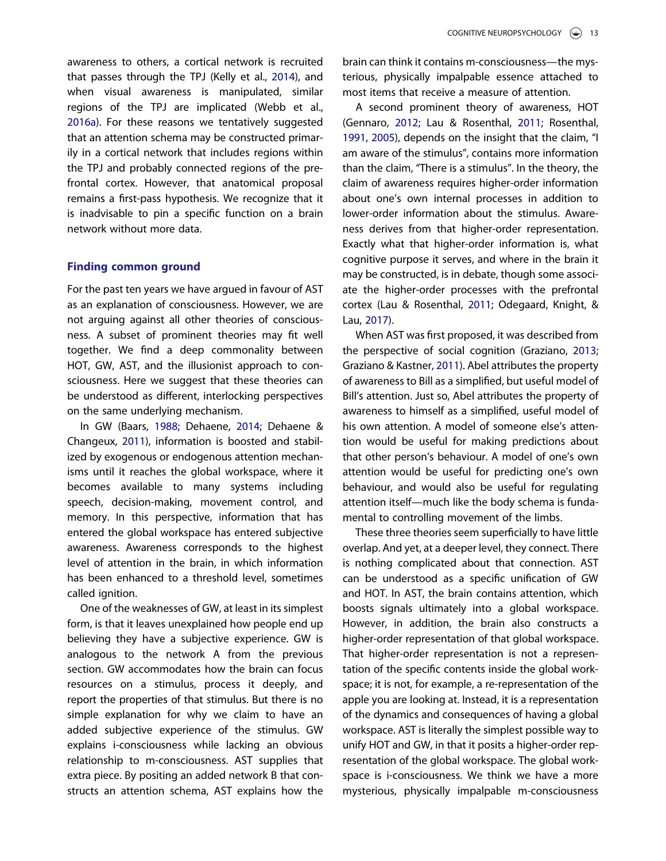awareness to others, a cortical network is recruited that passes through the TPJ (Kelly et al., 2014), and when visual awareness is manipulated, similar regions of the TPJ are implicated (Webb et al., 2016a). For these reasons we tentatively suggested that an attention schema may be constructed primarily in a cortical network that includes regions within the TPJ and probably connected regions of the prefrontal cortex. However, that anatomical proposal remains a first-pass hypothesis. We recognize that it is inadvisable to pin a specific function on a brain network without more data.

#### Finding common ground

For the past ten years we have argued in favour of AST as an explanation of consciousness. However, we are not arguing against all other theories of consciousness. A subset of prominent theories may fit well together. We find a deep commonality between HOT, GW, AST, and the illusionist approach to consciousness. Here we suggest that these theories can be understood as different, interlocking perspectives on the same underlying mechanism.

In GW (Baars, 1988; Dehaene, 2014; Dehaene & Changeux, 2011), information is boosted and stabilized by exogenous or endogenous attention mechanisms until it reaches the global workspace, where it becomes available to many systems including speech, decision-making, movement control, and memory. In this perspective, information that has entered the global workspace has entered subjective awareness. Awareness corresponds to the highest level of attention in the brain, in which information has been enhanced to a threshold level, sometimes called ignition.

One of the weaknesses of GW, at least in its simplest form, is that it leaves unexplained how people end up believing they have a subjective experience. GW is analogous to the network A from the previous section. GW accommodates how the brain can focus resources on a stimulus, process it deeply, and report the properties of that stimulus. But there is no simple explanation for why we claim to have an added subjective experience of the stimulus. GW explains i-consciousness while lacking an obvious relationship to m-consciousness. AST supplies that extra piece. By positing an added network B that constructs an attention schema, AST explains how the

brain can think it contains m-consciousness—the mysterious, physically impalpable essence attached to most items that receive a measure of attention.

A second prominent theory of awareness, HOT (Gennaro, 2012; Lau & Rosenthal, 2011; Rosenthal, 1991, 2005), depends on the insight that the claim, "I am aware of the stimulus", contains more information than the claim, "There is a stimulus". In the theory, the claim of awareness requires higher-order information about one's own internal processes in addition to lower-order information about the stimulus. Awareness derives from that higher-order representation. Exactly what that higher-order information is, what cognitive purpose it serves, and where in the brain it may be constructed, is in debate, though some associate the higher-order processes with the prefrontal cortex (Lau & Rosenthal, 2011; Odegaard, Knight, & Lau, 2017).

When AST was first proposed, it was described from the perspective of social cognition (Graziano, 2013; Graziano & Kastner, 2011). Abel attributes the property of awareness to Bill as a simplified, but useful model of Bill's attention. Just so, Abel attributes the property of awareness to himself as a simplified, useful model of his own attention. A model of someone else's attention would be useful for making predictions about that other person's behaviour. A model of one's own attention would be useful for predicting one's own behaviour, and would also be useful for regulating attention itself—much like the body schema is fundamental to controlling movement of the limbs.

These three theories seem superficially to have little overlap. And yet, at a deeper level, they connect. There is nothing complicated about that connection. AST can be understood as a specific unification of GW and HOT. In AST, the brain contains attention, which boosts signals ultimately into a global workspace. However, in addition, the brain also constructs a higher-order representation of that global workspace. That higher-order representation is not a representation of the specific contents inside the global workspace; it is not, for example, a re-representation of the apple you are looking at. Instead, it is a representation of the dynamics and consequences of having a global workspace. AST is literally the simplest possible way to unify HOT and GW, in that it posits a higher-order representation of the global workspace. The global workspace is i-consciousness. We think we have a more mysterious, physically impalpable m-consciousness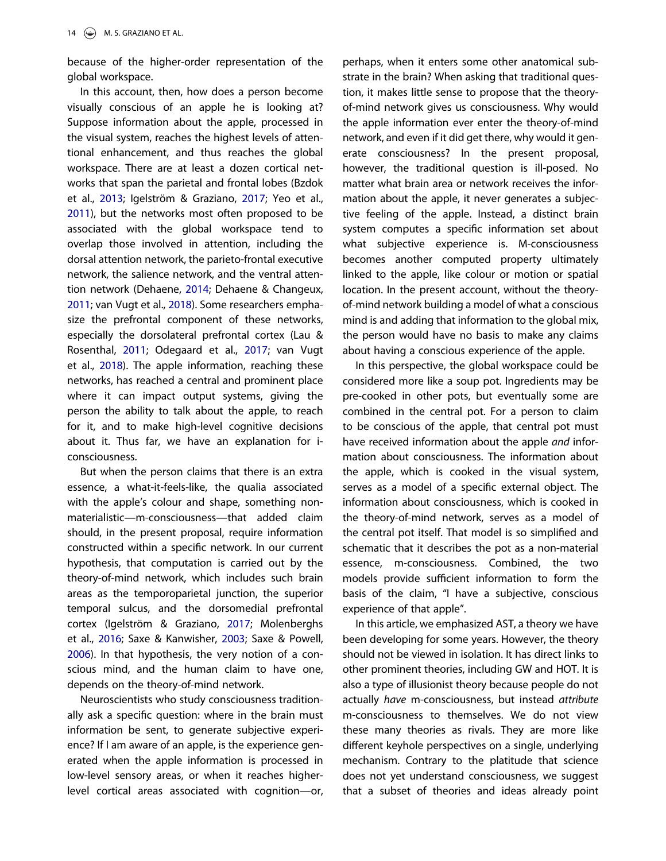because of the higher-order representation of the global workspace.

In this account, then, how does a person become visually conscious of an apple he is looking at? Suppose information about the apple, processed in the visual system, reaches the highest levels of attentional enhancement, and thus reaches the global workspace. There are at least a dozen cortical networks that span the parietal and frontal lobes (Bzdok et al., 2013; Igelström & Graziano, 2017; Yeo et al., 2011), but the networks most often proposed to be associated with the global workspace tend to overlap those involved in attention, including the dorsal attention network, the parieto-frontal executive network, the salience network, and the ventral attention network (Dehaene, 2014; Dehaene & Changeux, 2011; van Vugt et al., 2018). Some researchers emphasize the prefrontal component of these networks, especially the dorsolateral prefrontal cortex (Lau & Rosenthal, 2011; Odegaard et al., 2017; van Vugt et al., 2018). The apple information, reaching these networks, has reached a central and prominent place where it can impact output systems, giving the person the ability to talk about the apple, to reach for it, and to make high-level cognitive decisions about it. Thus far, we have an explanation for iconsciousness.

But when the person claims that there is an extra essence, a what-it-feels-like, the qualia associated with the apple's colour and shape, something nonmaterialistic—m-consciousness—that added claim should, in the present proposal, require information constructed within a specific network. In our current hypothesis, that computation is carried out by the theory-of-mind network, which includes such brain areas as the temporoparietal junction, the superior temporal sulcus, and the dorsomedial prefrontal cortex (Igelström & Graziano, 2017; Molenberghs et al., 2016; Saxe & Kanwisher, 2003; Saxe & Powell, 2006). In that hypothesis, the very notion of a conscious mind, and the human claim to have one, depends on the theory-of-mind network.

Neuroscientists who study consciousness traditionally ask a specific question: where in the brain must information be sent, to generate subjective experience? If I am aware of an apple, is the experience generated when the apple information is processed in low-level sensory areas, or when it reaches higherlevel cortical areas associated with cognition—or,

perhaps, when it enters some other anatomical substrate in the brain? When asking that traditional question, it makes little sense to propose that the theoryof-mind network gives us consciousness. Why would the apple information ever enter the theory-of-mind network, and even if it did get there, why would it generate consciousness? In the present proposal, however, the traditional question is ill-posed. No matter what brain area or network receives the information about the apple, it never generates a subjective feeling of the apple. Instead, a distinct brain system computes a specific information set about what subjective experience is. M-consciousness becomes another computed property ultimately linked to the apple, like colour or motion or spatial location. In the present account, without the theoryof-mind network building a model of what a conscious mind is and adding that information to the global mix, the person would have no basis to make any claims about having a conscious experience of the apple.

In this perspective, the global workspace could be considered more like a soup pot. Ingredients may be pre-cooked in other pots, but eventually some are combined in the central pot. For a person to claim to be conscious of the apple, that central pot must have received information about the apple and information about consciousness. The information about the apple, which is cooked in the visual system, serves as a model of a specific external object. The information about consciousness, which is cooked in the theory-of-mind network, serves as a model of the central pot itself. That model is so simplified and schematic that it describes the pot as a non-material essence, m-consciousness. Combined, the two models provide sufficient information to form the basis of the claim, "I have a subjective, conscious experience of that apple".

In this article, we emphasized AST, a theory we have been developing for some years. However, the theory should not be viewed in isolation. It has direct links to other prominent theories, including GW and HOT. It is also a type of illusionist theory because people do not actually have m-consciousness, but instead attribute m-consciousness to themselves. We do not view these many theories as rivals. They are more like different keyhole perspectives on a single, underlying mechanism. Contrary to the platitude that science does not yet understand consciousness, we suggest that a subset of theories and ideas already point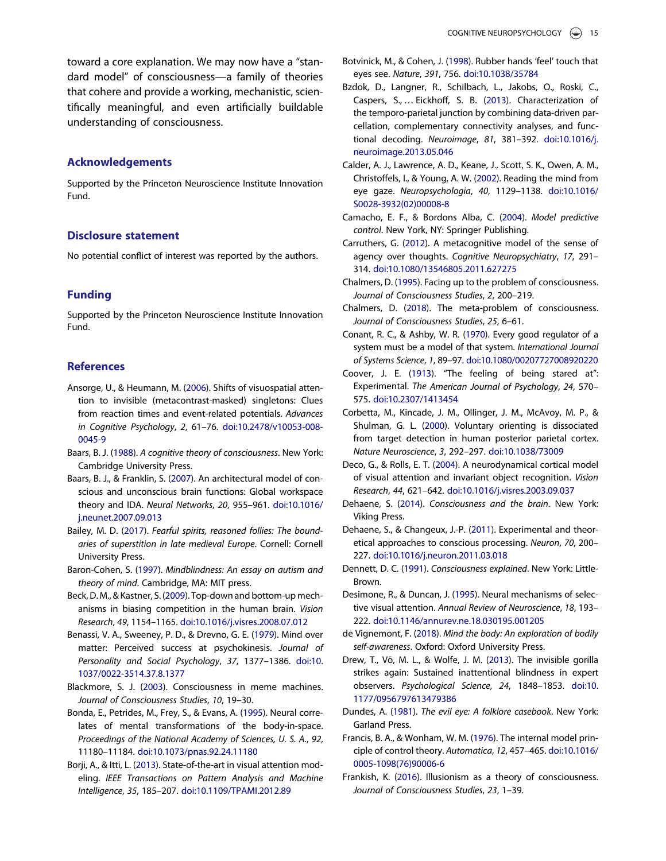toward a core explanation. We may now have a "standard model" of consciousness—a family of theories that cohere and provide a working, mechanistic, scientifically meaningful, and even artificially buildable understanding of consciousness.

#### Acknowledgements

Supported by the Princeton Neuroscience Institute Innovation Fund.

## Disclosure statement

No potential conflict of interest was reported by the authors.

#### Funding

Supported by the Princeton Neuroscience Institute Innovation Fund.

#### References

- Ansorge, U., & Heumann, M. (2006). Shifts of visuospatial attention to invisible (metacontrast-masked) singletons: Clues from reaction times and event-related potentials. Advances in Cognitive Psychology, 2, 61–76. doi:10.2478/v10053-008- 0045-9
- Baars, B. J. (1988). A cognitive theory of consciousness. New York: Cambridge University Press.
- Baars, B. J., & Franklin, S. (2007). An architectural model of conscious and unconscious brain functions: Global workspace theory and IDA. Neural Networks, 20, 955–961. doi:10.1016/ j.neunet.2007.09.013
- Bailey, M. D. (2017). Fearful spirits, reasoned follies: The boundaries of superstition in late medieval Europe. Cornell: Cornell University Press.
- Baron-Cohen, S. (1997). Mindblindness: An essay on autism and theory of mind. Cambridge, MA: MIT press.
- Beck, D. M., & Kastner, S. (2009). Top-down and bottom-up mechanisms in biasing competition in the human brain. Vision Research, 49, 1154–1165. doi:10.1016/j.visres.2008.07.012
- Benassi, V. A., Sweeney, P. D., & Drevno, G. E. (1979). Mind over matter: Perceived success at psychokinesis. Journal of Personality and Social Psychology, 37, 1377–1386. doi:10. 1037/0022-3514.37.8.1377
- Blackmore, S. J. (2003). Consciousness in meme machines. Journal of Consciousness Studies, 10, 19–30.
- Bonda, E., Petrides, M., Frey, S., & Evans, A. (1995). Neural correlates of mental transformations of the body-in-space. Proceedings of the National Academy of Sciences, U. S. A., 92, 11180–11184. doi:10.1073/pnas.92.24.11180
- Borji, A., & Itti, L. (2013). State-of-the-art in visual attention modeling. IEEE Transactions on Pattern Analysis and Machine Intelligence, 35, 185–207. doi:10.1109/TPAMI.2012.89
- Botvinick, M., & Cohen, J. (1998). Rubber hands 'feel' touch that eyes see. Nature, 391, 756. doi:10.1038/35784
- Bzdok, D., Langner, R., Schilbach, L., Jakobs, O., Roski, C., Caspers, S., … Eickhoff, S. B. (2013). Characterization of the temporo-parietal junction by combining data-driven parcellation, complementary connectivity analyses, and functional decoding. Neuroimage, 81, 381–392. doi:10.1016/j. neuroimage.2013.05.046
- Calder, A. J., Lawrence, A. D., Keane, J., Scott, S. K., Owen, A. M., Christoffels, I., & Young, A. W. (2002). Reading the mind from eye gaze. Neuropsychologia, 40, 1129–1138. doi:10.1016/ S0028-3932(02)00008-8
- Camacho, E. F., & Bordons Alba, C. (2004). Model predictive control. New York, NY: Springer Publishing.
- Carruthers, G. (2012). A metacognitive model of the sense of agency over thoughts. Cognitive Neuropsychiatry, 17, 291– 314. doi:10.1080/13546805.2011.627275
- Chalmers, D. (1995). Facing up to the problem of consciousness. Journal of Consciousness Studies, 2, 200–219.
- Chalmers, D. (2018). The meta-problem of consciousness. Journal of Consciousness Studies, 25, 6–61.
- Conant, R. C., & Ashby, W. R. (1970). Every good regulator of a system must be a model of that system. International Journal of Systems Science, 1, 89–97. doi:10.1080/00207727008920220
- Coover, J. E. (1913). "The feeling of being stared at": Experimental. The American Journal of Psychology, 24, 570– 575. doi:10.2307/1413454
- Corbetta, M., Kincade, J. M., Ollinger, J. M., McAvoy, M. P., & Shulman, G. L. (2000). Voluntary orienting is dissociated from target detection in human posterior parietal cortex. Nature Neuroscience, 3, 292–297. doi:10.1038/73009
- Deco, G., & Rolls, E. T. (2004). A neurodynamical cortical model of visual attention and invariant object recognition. Vision Research, 44, 621–642. doi:10.1016/j.visres.2003.09.037
- Dehaene, S. (2014). Consciousness and the brain. New York: Viking Press.
- Dehaene, S., & Changeux, J.-P. (2011). Experimental and theoretical approaches to conscious processing. Neuron, 70, 200– 227. doi:10.1016/j.neuron.2011.03.018
- Dennett, D. C. (1991). Consciousness explained. New York: Little-Brown.
- Desimone, R., & Duncan, J. (1995). Neural mechanisms of selective visual attention. Annual Review of Neuroscience, 18, 193– 222. doi:10.1146/annurev.ne.18.030195.001205
- de Vignemont, F. (2018). Mind the body: An exploration of bodily self-awareness. Oxford: Oxford University Press.
- Drew, T., Võ, M. L., & Wolfe, J. M. (2013). The invisible gorilla strikes again: Sustained inattentional blindness in expert observers. Psychological Science, 24, 1848–1853. doi:10. 1177/0956797613479386
- Dundes, A. (1981). The evil eye: A folklore casebook. New York: Garland Press.
- Francis, B. A., & Wonham, W. M. (1976). The internal model principle of control theory. Automatica, 12, 457–465. doi:10.1016/ 0005-1098(76)90006-6
- Frankish, K. (2016). Illusionism as a theory of consciousness. Journal of Consciousness Studies, 23, 1–39.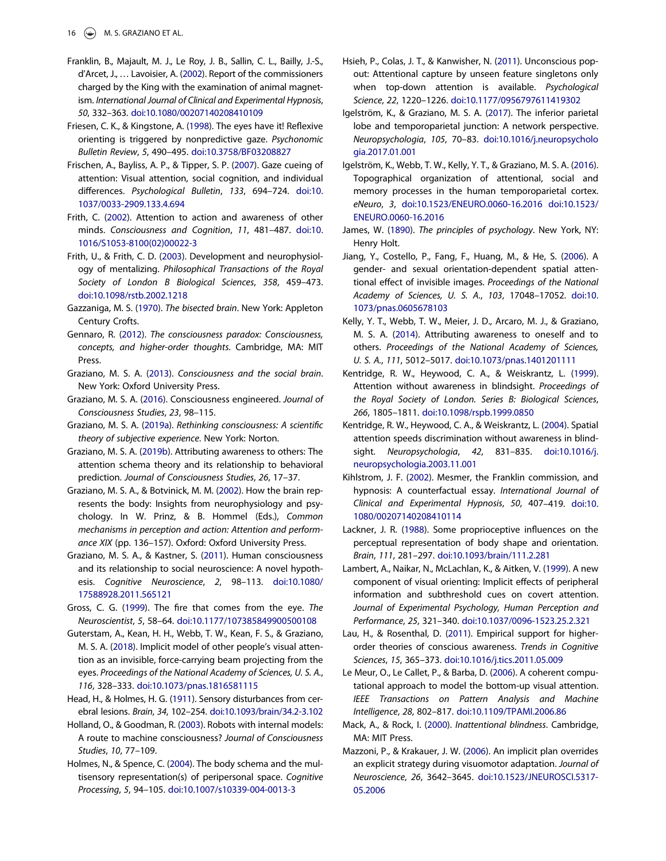- Franklin, B., Majault, M. J., Le Roy, J. B., Sallin, C. L., Bailly, J.-S., d'Arcet, J., … Lavoisier, A. (2002). Report of the commissioners charged by the King with the examination of animal magnetism. International Journal of Clinical and Experimental Hypnosis, 50, 332–363. doi:10.1080/00207140208410109
- Friesen, C. K., & Kingstone, A. (1998). The eyes have it! Reflexive orienting is triggered by nonpredictive gaze. Psychonomic Bulletin Review, 5, 490–495. doi:10.3758/BF03208827
- Frischen, A., Bayliss, A. P., & Tipper, S. P. (2007). Gaze cueing of attention: Visual attention, social cognition, and individual differences. Psychological Bulletin, 133, 694–724. doi:10. 1037/0033-2909.133.4.694
- Frith, C. (2002). Attention to action and awareness of other minds. Consciousness and Cognition, 11, 481–487. doi:10. 1016/S1053-8100(02)00022-3
- Frith, U., & Frith, C. D. (2003). Development and neurophysiology of mentalizing. Philosophical Transactions of the Royal Society of London B Biological Sciences, 358, 459–473. doi:10.1098/rstb.2002.1218
- Gazzaniga, M. S. (1970). The bisected brain. New York: Appleton Century Crofts.
- Gennaro, R. (2012). The consciousness paradox: Consciousness, concepts, and higher-order thoughts. Cambridge, MA: MIT Press.
- Graziano, M. S. A. (2013). Consciousness and the social brain. New York: Oxford University Press.
- Graziano, M. S. A. (2016). Consciousness engineered. Journal of Consciousness Studies, 23, 98–115.
- Graziano, M. S. A. (2019a). Rethinking consciousness: A scientific theory of subjective experience. New York: Norton.
- Graziano, M. S. A. (2019b). Attributing awareness to others: The attention schema theory and its relationship to behavioral prediction. Journal of Consciousness Studies, 26, 17–37.
- Graziano, M. S. A., & Botvinick, M. M. (2002). How the brain represents the body: Insights from neurophysiology and psychology. In W. Prinz, & B. Hommel (Eds.), Common mechanisms in perception and action: Attention and performance XIX (pp. 136–157). Oxford: Oxford University Press.
- Graziano, M. S. A., & Kastner, S. (2011). Human consciousness and its relationship to social neuroscience: A novel hypothesis. Cognitive Neuroscience, 2, 98–113. doi:10.1080/ 17588928.2011.565121
- Gross, C. G. (1999). The fire that comes from the eye. The Neuroscientist, 5, 58–64. doi:10.1177/107385849900500108
- Guterstam, A., Kean, H. H., Webb, T. W., Kean, F. S., & Graziano, M. S. A. (2018). Implicit model of other people's visual attention as an invisible, force-carrying beam projecting from the eyes. Proceedings of the National Academy of Sciences, U. S. A., 116, 328–333. doi:10.1073/pnas.1816581115
- Head, H., & Holmes, H. G. (1911). Sensory disturbances from cerebral lesions. Brain, 34, 102–254. doi:10.1093/brain/34.2-3.102
- Holland, O., & Goodman, R. (2003). Robots with internal models: A route to machine consciousness? Journal of Consciousness Studies, 10, 77–109.
- Holmes, N., & Spence, C. (2004). The body schema and the multisensory representation(s) of peripersonal space. Cognitive Processing, 5, 94–105. doi:10.1007/s10339-004-0013-3
- Hsieh, P., Colas, J. T., & Kanwisher, N. (2011). Unconscious popout: Attentional capture by unseen feature singletons only when top-down attention is available. Psychological Science, 22, 1220–1226. doi:10.1177/0956797611419302
- Igelström, K., & Graziano, M. S. A. (2017). The inferior parietal lobe and temporoparietal junction: A network perspective. Neuropsychologia, 105, 70–83. doi:10.1016/j.neuropsycholo gia.2017.01.001
- Igelström, K., Webb, T. W., Kelly, Y. T., & Graziano, M. S. A. (2016). Topographical organization of attentional, social and memory processes in the human temporoparietal cortex. eNeuro, 3, doi:10.1523/ENEURO.0060-16.2016 doi:10.1523/ ENEURO.0060-16.2016
- James, W. (1890). The principles of psychology. New York, NY: Henry Holt.
- Jiang, Y., Costello, P., Fang, F., Huang, M., & He, S. (2006). A gender- and sexual orientation-dependent spatial attentional effect of invisible images. Proceedings of the National Academy of Sciences, U. S. A., 103, 17048–17052. doi:10. 1073/pnas.0605678103
- Kelly, Y. T., Webb, T. W., Meier, J. D., Arcaro, M. J., & Graziano, M. S. A. (2014). Attributing awareness to oneself and to others. Proceedings of the National Academy of Sciences, U. S. A., 111, 5012–5017. doi:10.1073/pnas.1401201111
- Kentridge, R. W., Heywood, C. A., & Weiskrantz, L. (1999). Attention without awareness in blindsight. Proceedings of the Royal Society of London. Series B: Biological Sciences, 266, 1805–1811. doi:10.1098/rspb.1999.0850
- Kentridge, R. W., Heywood, C. A., & Weiskrantz, L. (2004). Spatial attention speeds discrimination without awareness in blindsight. Neuropsychologia, 42, 831–835. doi:10.1016/j. neuropsychologia.2003.11.001
- Kihlstrom, J. F. (2002). Mesmer, the Franklin commission, and hypnosis: A counterfactual essay. International Journal of Clinical and Experimental Hypnosis, 50, 407–419. doi:10. 1080/00207140208410114
- Lackner, J. R. (1988). Some proprioceptive influences on the perceptual representation of body shape and orientation. Brain, 111, 281–297. doi:10.1093/brain/111.2.281
- Lambert, A., Naikar, N., McLachlan, K., & Aitken, V. (1999). A new component of visual orienting: Implicit effects of peripheral information and subthreshold cues on covert attention. Journal of Experimental Psychology, Human Perception and Performance, 25, 321–340. doi:10.1037/0096-1523.25.2.321
- Lau, H., & Rosenthal, D. (2011). Empirical support for higherorder theories of conscious awareness. Trends in Cognitive Sciences, 15, 365–373. doi:10.1016/j.tics.2011.05.009
- Le Meur, O., Le Callet, P., & Barba, D. (2006). A coherent computational approach to model the bottom-up visual attention. IEEE Transactions on Pattern Analysis and Machine Intelligence, 28, 802–817. doi:10.1109/TPAMI.2006.86
- Mack, A., & Rock, I. (2000). Inattentional blindness. Cambridge, MA: MIT Press.
- Mazzoni, P., & Krakauer, J. W. (2006). An implicit plan overrides an explicit strategy during visuomotor adaptation. Journal of Neuroscience, 26, 3642–3645. doi:10.1523/JNEUROSCI.5317- 05.2006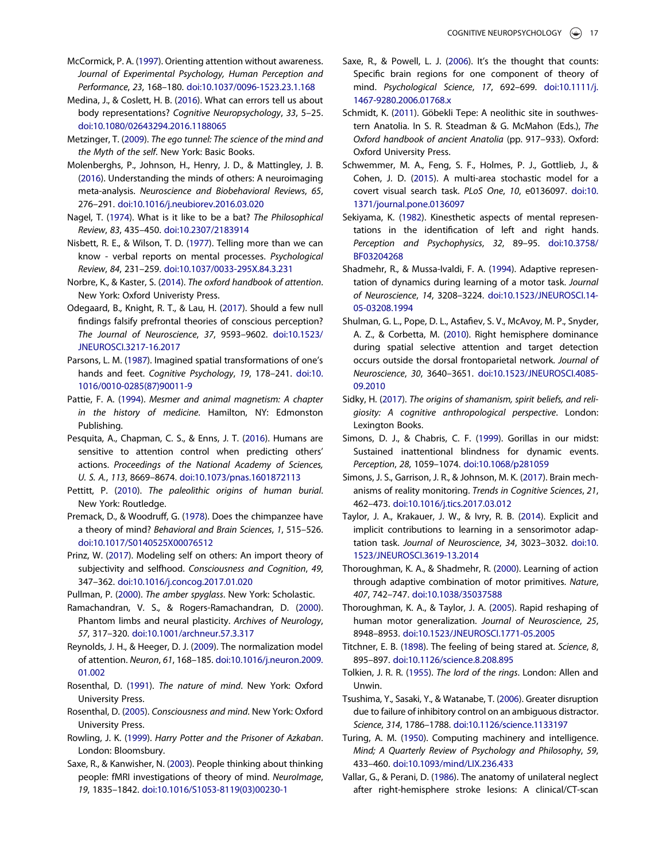McCormick, P. A. (1997). Orienting attention without awareness. Journal of Experimental Psychology, Human Perception and Performance, 23, 168–180. doi:10.1037/0096-1523.23.1.168

Medina, J., & Coslett, H. B. (2016). What can errors tell us about body representations? Cognitive Neuropsychology, 33, 5–25. doi:10.1080/02643294.2016.1188065

Metzinger, T. (2009). The ego tunnel: The science of the mind and the Myth of the self. New York: Basic Books.

Molenberghs, P., Johnson, H., Henry, J. D., & Mattingley, J. B. (2016). Understanding the minds of others: A neuroimaging meta-analysis. Neuroscience and Biobehavioral Reviews, 65, 276–291. doi:10.1016/j.neubiorev.2016.03.020

Nagel, T. (1974). What is it like to be a bat? The Philosophical Review, 83, 435–450. doi:10.2307/2183914

Nisbett, R. E., & Wilson, T. D. (1977). Telling more than we can know - verbal reports on mental processes. Psychological Review, 84, 231–259. doi:10.1037/0033-295X.84.3.231

Norbre, K., & Kaster, S. (2014). The oxford handbook of attention. New York: Oxford Univeristy Press.

Odegaard, B., Knight, R. T., & Lau, H. (2017). Should a few null findings falsify prefrontal theories of conscious perception? The Journal of Neuroscience, 37, 9593–9602. doi:10.1523/ JNEUROSCI.3217-16.2017

Parsons, L. M. (1987). Imagined spatial transformations of one's hands and feet. Cognitive Psychology, 19, 178–241. doi:10. 1016/0010-0285(87)90011-9

Pattie, F. A. (1994). Mesmer and animal magnetism: A chapter in the history of medicine. Hamilton, NY: Edmonston Publishing.

Pesquita, A., Chapman, C. S., & Enns, J. T. (2016). Humans are sensitive to attention control when predicting others' actions. Proceedings of the National Academy of Sciences, U. S. A., 113, 8669–8674. doi:10.1073/pnas.1601872113

Pettitt, P. (2010). The paleolithic origins of human burial. New York: Routledge.

Premack, D., & Woodruff, G. (1978). Does the chimpanzee have a theory of mind? Behavioral and Brain Sciences, 1, 515–526. doi:10.1017/S0140525X00076512

Prinz, W. (2017). Modeling self on others: An import theory of subjectivity and selfhood. Consciousness and Cognition, 49, 347–362. doi:10.1016/j.concog.2017.01.020

Pullman, P. (2000). The amber spyglass. New York: Scholastic.

Ramachandran, V. S., & Rogers-Ramachandran, D. (2000). Phantom limbs and neural plasticity. Archives of Neurology, 57, 317–320. doi:10.1001/archneur.57.3.317

Reynolds, J. H., & Heeger, D. J. (2009). The normalization model of attention. Neuron, 61, 168–185. doi:10.1016/j.neuron.2009. 01.002

Rosenthal, D. (1991). The nature of mind. New York: Oxford University Press.

Rosenthal, D. (2005). Consciousness and mind. New York: Oxford University Press.

Rowling, J. K. (1999). Harry Potter and the Prisoner of Azkaban. London: Bloomsbury.

Saxe, R., & Kanwisher, N. (2003). People thinking about thinking people: fMRI investigations of theory of mind. NeuroImage, 19, 1835–1842. doi:10.1016/S1053-8119(03)00230-1

Saxe, R., & Powell, L. J. (2006). It's the thought that counts: Specific brain regions for one component of theory of mind. Psychological Science, 17, 692–699. doi:10.1111/j. 1467-9280.2006.01768.x

Schmidt, K. (2011). Göbekli Tepe: A neolithic site in southwestern Anatolia. In S. R. Steadman & G. McMahon (Eds.), The Oxford handbook of ancient Anatolia (pp. 917–933). Oxford: Oxford University Press.

Schwemmer, M. A., Feng, S. F., Holmes, P. J., Gottlieb, J., & Cohen, J. D. (2015). A multi-area stochastic model for a covert visual search task. PLoS One, 10, e0136097. doi:10. 1371/journal.pone.0136097

Sekiyama, K. (1982). Kinesthetic aspects of mental representations in the identification of left and right hands. Perception and Psychophysics, 32, 89–95. doi:10.3758/ BF03204268

Shadmehr, R., & Mussa-Ivaldi, F. A. (1994). Adaptive representation of dynamics during learning of a motor task. Journal of Neuroscience, 14, 3208–3224. doi:10.1523/JNEUROSCI.14- 05-03208.1994

Shulman, G. L., Pope, D. L., Astafiev, S. V., McAvoy, M. P., Snyder, A. Z., & Corbetta, M. (2010). Right hemisphere dominance during spatial selective attention and target detection occurs outside the dorsal frontoparietal network. Journal of Neuroscience, 30, 3640–3651. doi:10.1523/JNEUROSCI.4085- 09.2010

Sidky, H. (2017). The origins of shamanism, spirit beliefs, and religiosity: A cognitive anthropological perspective. London: Lexington Books.

Simons, D. J., & Chabris, C. F. (1999). Gorillas in our midst: Sustained inattentional blindness for dynamic events. Perception, 28, 1059–1074. doi:10.1068/p281059

Simons, J. S., Garrison, J. R., & Johnson, M. K. (2017). Brain mechanisms of reality monitoring. Trends in Cognitive Sciences, 21, 462–473. doi:10.1016/j.tics.2017.03.012

Taylor, J. A., Krakauer, J. W., & Ivry, R. B. (2014). Explicit and implicit contributions to learning in a sensorimotor adaptation task. Journal of Neuroscience, 34, 3023–3032. doi:10. 1523/JNEUROSCI.3619-13.2014

Thoroughman, K. A., & Shadmehr, R. (2000). Learning of action through adaptive combination of motor primitives. Nature, 407, 742–747. doi:10.1038/35037588

Thoroughman, K. A., & Taylor, J. A. (2005). Rapid reshaping of human motor generalization. Journal of Neuroscience, 25, 8948–8953. doi:10.1523/JNEUROSCI.1771-05.2005

Titchner, E. B. (1898). The feeling of being stared at. Science, 8, 895–897. doi:10.1126/science.8.208.895

Tolkien, J. R. R. (1955). The lord of the rings. London: Allen and Unwin.

Tsushima, Y., Sasaki, Y., & Watanabe, T. (2006). Greater disruption due to failure of inhibitory control on an ambiguous distractor. Science, 314, 1786–1788. doi:10.1126/science.1133197

Turing, A. M. (1950). Computing machinery and intelligence. Mind; A Quarterly Review of Psychology and Philosophy, 59, 433–460. doi:10.1093/mind/LIX.236.433

Vallar, G., & Perani, D. (1986). The anatomy of unilateral neglect after right-hemisphere stroke lesions: A clinical/CT-scan